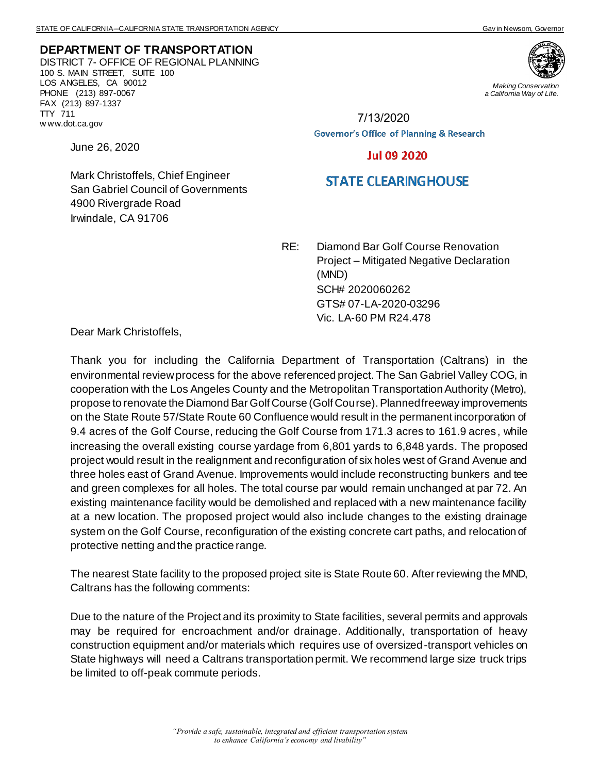**DEPARTMENT OF TRANSPORTATION** DISTRICT 7- OFFICE OF REGIONAL PLANNING 100 S. MAIN STREET, SUITE 100 LOS ANGELES, CA 90012 PHONE (213) 897-0067 FAX (213) 897-1337 TTY 711 w ww.dot.ca.gov

June 26, 2020



*Making Conservation a California Way of Life.*

7/13/2020**Governor's Office of Planning & Research** 

## **Jul 09 2020**

## **STATE CLEARINGHOUSE**

Mark Christoffels, Chief Engineer San Gabriel Council of Governments 4900 Rivergrade Road Irwindale, CA 91706

> RE: Diamond Bar Golf Course Renovation Project – Mitigated Negative Declaration (MND) SCH# 2020060262 GTS# 07-LA-2020-03296 Vic. LA-60 PM R24.478

Dear Mark Christoffels,

Thank you for including the California Department of Transportation (Caltrans) in the environmental review process for the above referenced project. The San Gabriel Valley COG, in cooperation with the Los Angeles County and the Metropolitan Transportation Authority (Metro), propose to renovate the Diamond Bar Golf Course (Golf Course). Planned freeway improvements on the State Route 57/State Route 60 Confluence would result in the permanent incorporation of 9.4 acres of the Golf Course, reducing the Golf Course from 171.3 acres to 161.9 acres , while increasing the overall existing course yardage from 6,801 yards to 6,848 yards. The proposed project would result in the realignment and reconfiguration of six holes west of Grand Avenue and three holes east of Grand Avenue. Improvements would include reconstructing bunkers and tee and green complexes for all holes. The total course par would remain unchanged at par 72. An existing maintenance facility would be demolished and replaced with a new maintenance facility at a new location. The proposed project would also include changes to the existing drainage system on the Golf Course, reconfiguration of the existing concrete cart paths, and relocation of protective netting and the practice range.

The nearest State facility to the proposed project site is State Route 60. After reviewing the MND, Caltrans has the following comments:

Due to the nature of the Project and its proximity to State facilities, several permits and approvals may be required for encroachment and/or drainage. Additionally, transportation of heavy construction equipment and/or materials which requires use of oversized-transport vehicles on State highways will need a Caltrans transportation permit. We recommend large size truck trips be limited to off-peak commute periods.